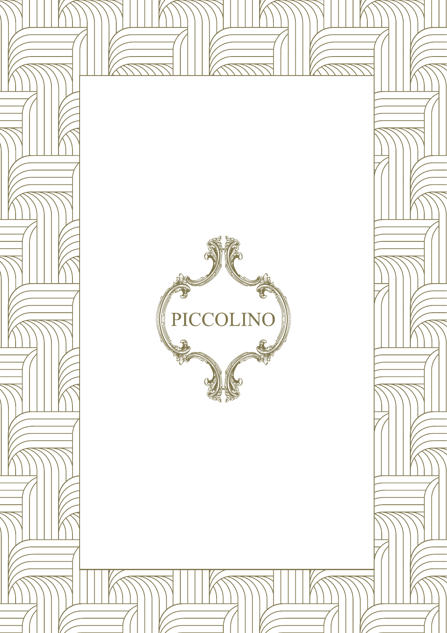